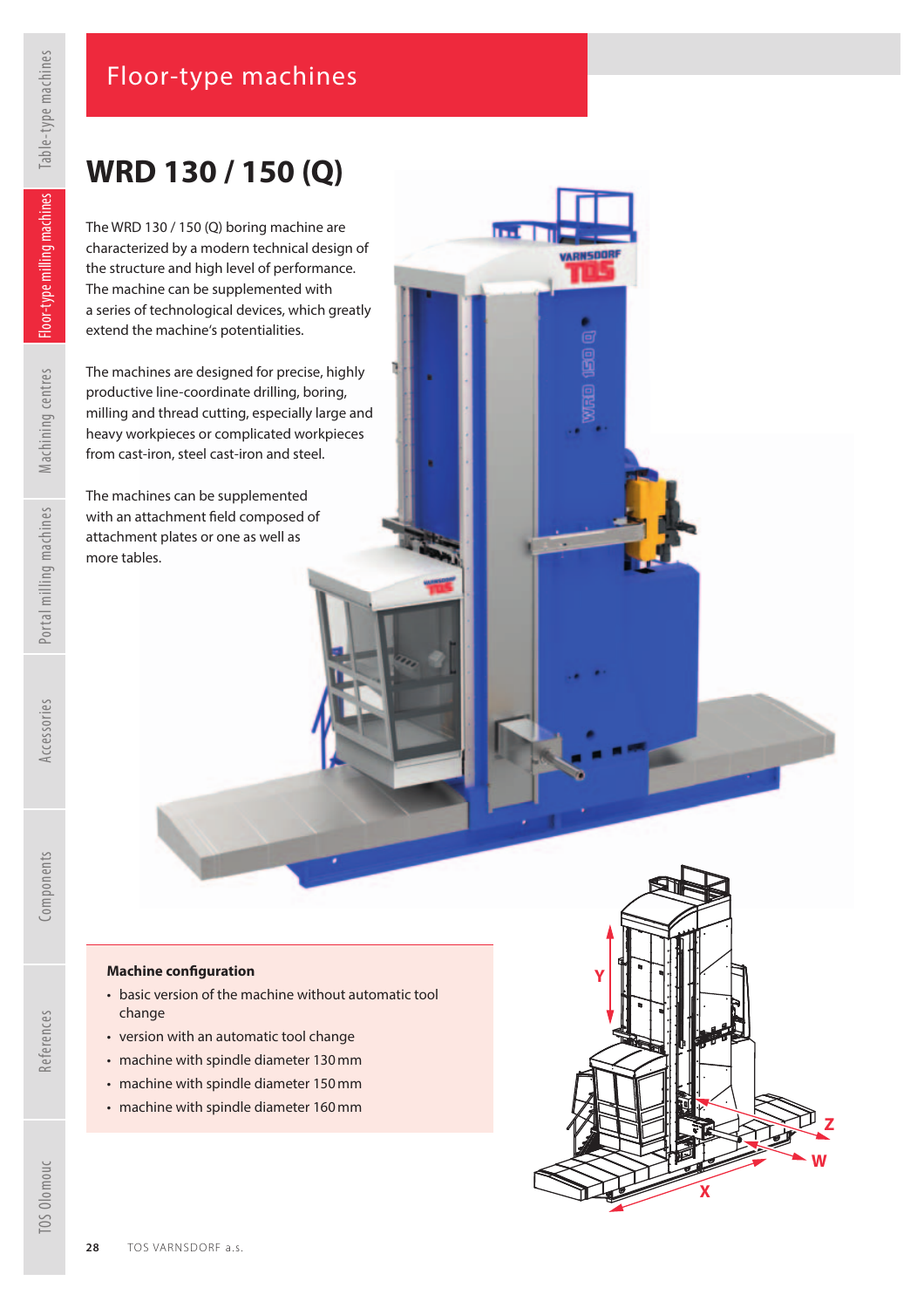### Floor-type machines

## **WRD 130 / 150 (Q)**

The WRD 130 / 150 (Q) boring machine are characterized by a modern technical design of the structure and high level of performance. The machine can be supplemented with a series of technological devices, which greatly extend the machine's potentialities.

**Ind** 

**VARNSDORF** 

The machines are designed for precise, highly productive line-coordinate drilling, boring, milling and thread cutting, especially large and heavy workpieces or complicated workpieces from cast-iron, steel cast-iron and steel.

The machines can be supplemented with an attachment field composed of attachment plates or one as well as more tables.

#### **Machine con f guration**

- basic version of the machine without automatic tool change
- version with an automatic tool change
- machine with spindle diameter 130 mm
- machine with spindle diameter 150 mm
- machine with spindle diameter 160 mm



References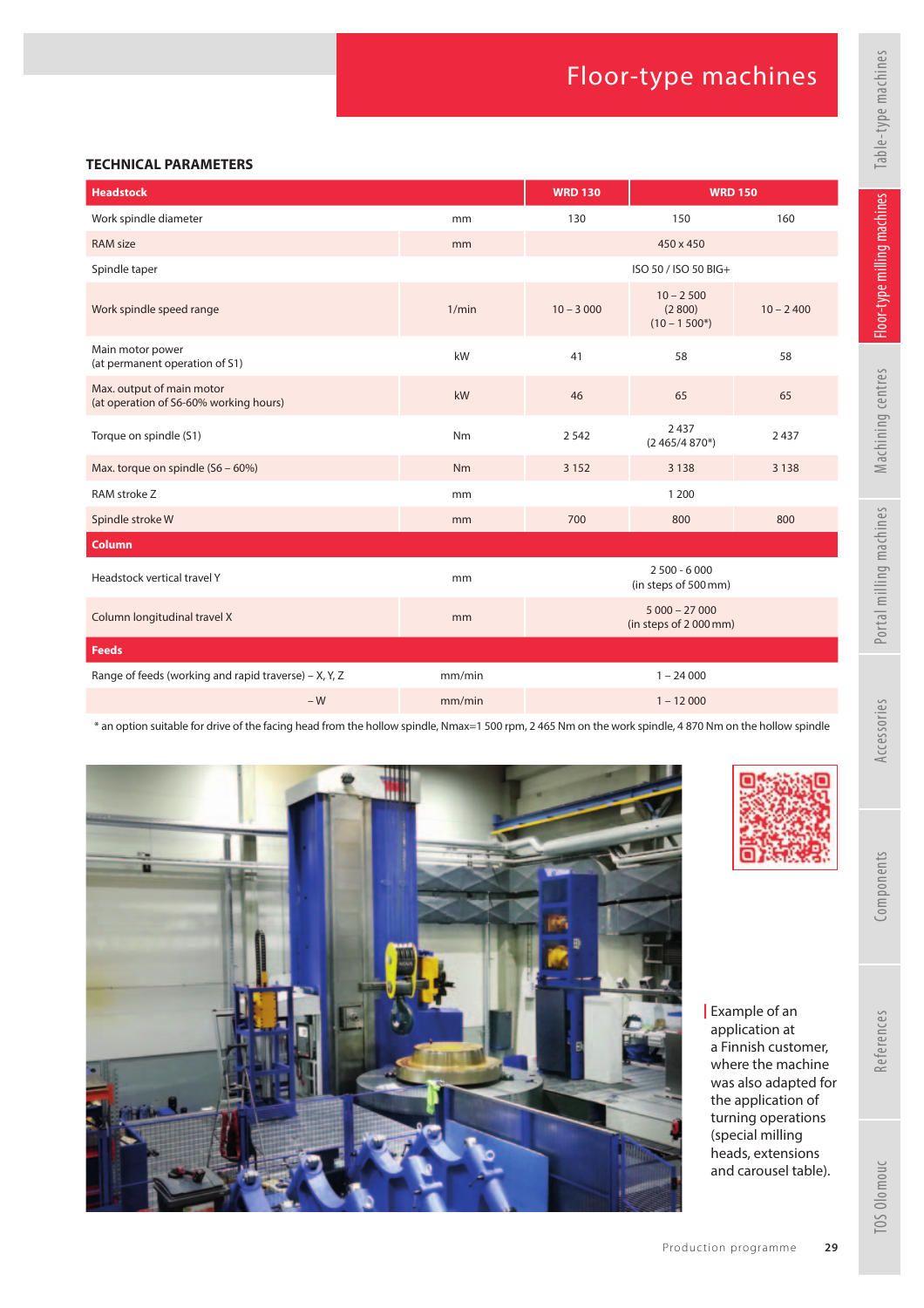#### **TECHNICAL PARAMETERS**

| <b>Headstock</b>                                                    |        | <b>WRD 130</b>                          | <b>WRD 150</b>                          |             |
|---------------------------------------------------------------------|--------|-----------------------------------------|-----------------------------------------|-------------|
| Work spindle diameter                                               | mm     | 130                                     | 150                                     | 160         |
| <b>RAM size</b>                                                     | mm     |                                         | 450 x 450                               |             |
| Spindle taper                                                       |        | ISO 50 / ISO 50 BIG+                    |                                         |             |
| Work spindle speed range                                            | 1/min  | $10 - 3000$                             | $10 - 2500$<br>(2800)<br>$(10 - 1500*)$ | $10 - 2400$ |
| Main motor power<br>(at permanent operation of S1)                  | kW     | 41                                      | 58                                      | 58          |
| Max. output of main motor<br>(at operation of S6-60% working hours) | kW     | 46                                      | 65                                      | 65          |
| Torque on spindle (S1)                                              | Nm     | 2542                                    | 2437<br>$(2465/4870*)$                  | 2437        |
| Max. torque on spindle (S6 - 60%)                                   | Nm     | 3 1 5 2                                 | 3 1 3 8                                 | 3 1 3 8     |
| RAM stroke Z                                                        | mm     |                                         | 1 2 0 0                                 |             |
| Spindle stroke W                                                    | mm     | 700                                     | 800                                     | 800         |
| Column                                                              |        |                                         |                                         |             |
| Headstock vertical travel Y                                         | mm     | $2500 - 6000$<br>(in steps of 500 mm)   |                                         |             |
| Column longitudinal travel X                                        | mm     | $5000 - 27000$<br>(in steps of 2000 mm) |                                         |             |
| <b>Feeds</b>                                                        |        |                                         |                                         |             |
| Range of feeds (working and rapid traverse) – X, Y, Z               | mm/min | $1 - 24000$                             |                                         |             |
| $-W$                                                                | mm/min | $1 - 12000$                             |                                         |             |

\* an option suitable for drive of the facing head from the hollow spindle, Nmax=1 500 rpm, 2 465 Nm on the work spindle, 4 870 Nm on the hollow spindle





| Example of an application at a Finnish customer, where the machine was also adapted for the application of turning operations (special milling heads, extensions and carousel table).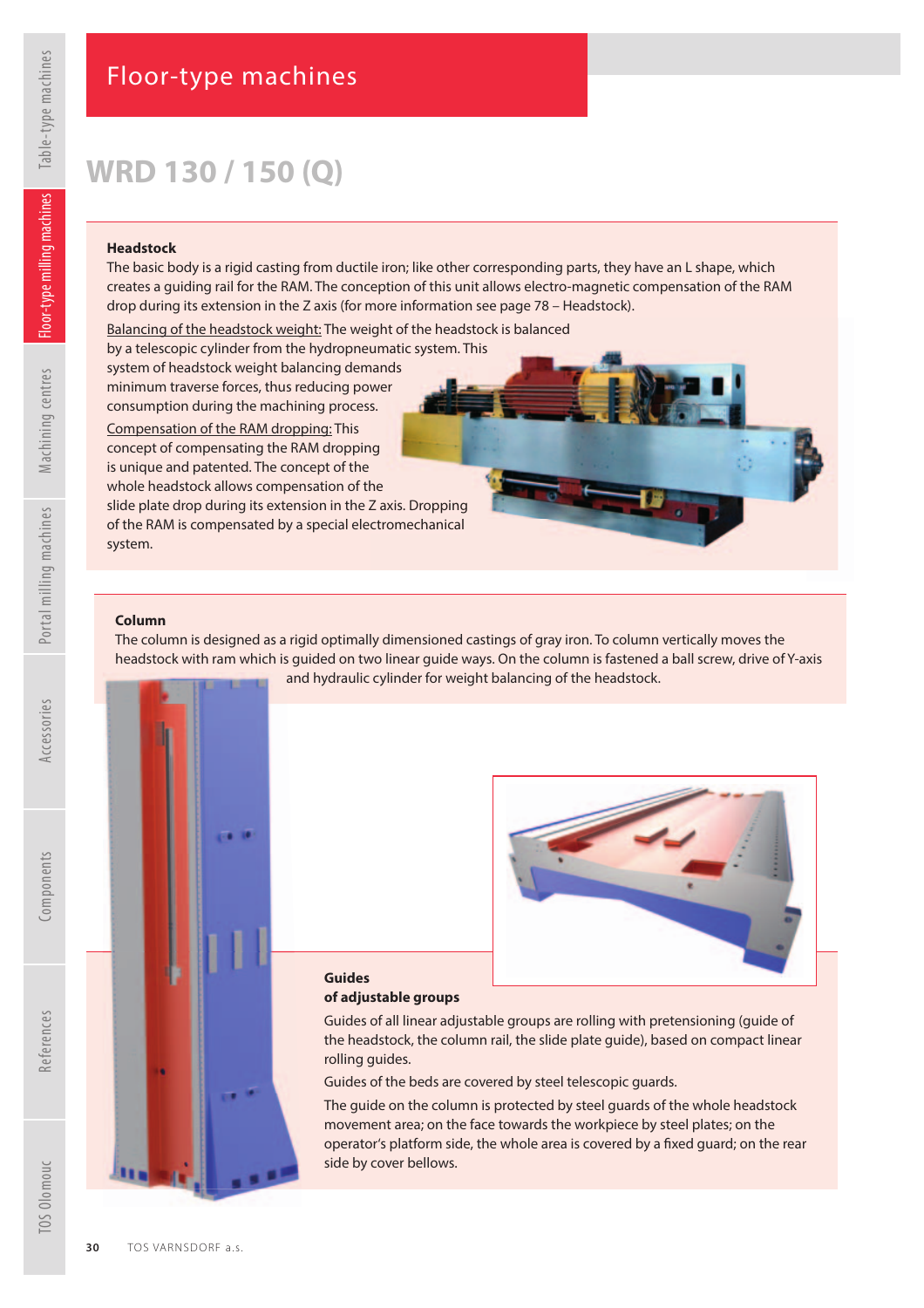Machining centres

# **WRD 130 / 150 (Q)**

#### **Headstock**

The basic body is a rigid casting from ductile iron; like other corresponding parts, they have an L shape, which creates a guiding rail for the RAM. The conception of this unit allows electro-magnetic compensation of the RAM drop during its extension in the Z axis (for more information see page 78 – Headstock).

Balancing of the headstock weight: The weight of the headstock is balanced by a telescopic cylinder from the hydropneumatic system. This system of headstock weight balancing demands<br>minimum traverse forces, thus reducing power minimum traverse forces, thus reducing power consumption during the machining process.

Compensation of the RAM dropping: This consumption during the machining process.<br><u>Compensation of the RAM dropping:</u> This<br>concept of compensating the RAM dropping is unique and patented. The concept of the whole headstock allows compensation of the slide plate drop during its extension in the Z axis. Dropping Dropping of the RAM is compensated by a special electromechanical system.

#### **Column**

The column is designed as a rigid optimally dimensioned castings of gray iron. To column vertically moves the headstock with ram which is guided on two linear guide ways. On the column is fastened a ball screw, drive of Y-axis and hydraulic cylinder for weight balancing of the headstock.





#### **Guides of adjustable groups**

Guides of all linear adjustable groups are rolling with pretensioning (guide of the headstock, the column rail, the slide plate guide), based on compact linear rolling guides.

Guides of the beds are covered by steel telescopic guards.

The guide on the column is protected by steel guards of the whole headstock movement area; on the face towards the workpiece by steel plates; on the operator's platform side, the whole area is covered by a fixed guard; on the rear side by cover bellows.

References